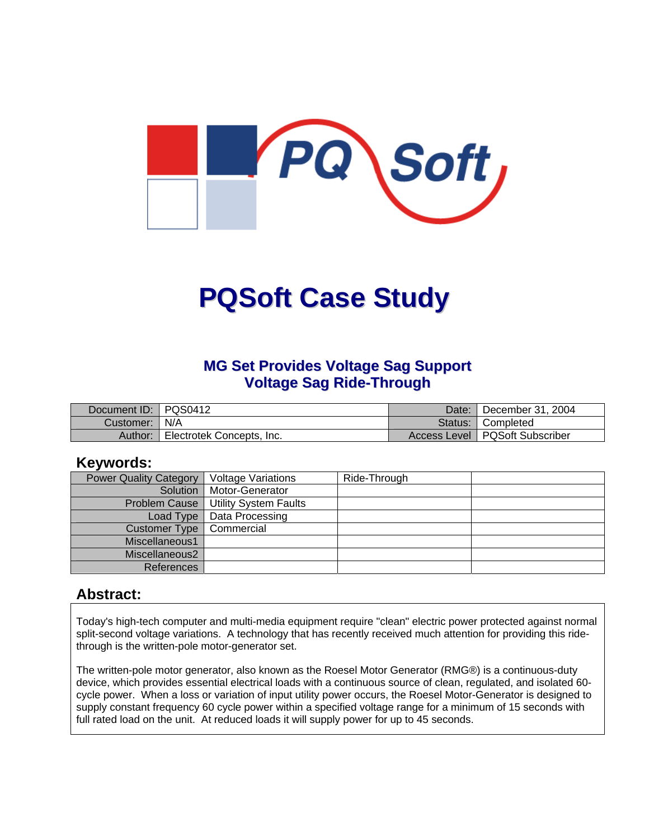

# **PQSoft Case Study**

# **MG Set Provides Voltage Sag Support Voltage Sag Ride-Through**

| Document ID: PQS0412 |                           | Date:     | December 31, 2004                |
|----------------------|---------------------------|-----------|----------------------------------|
| Customer:   N/A      |                           | Status: I | <b>Completed</b>                 |
| Author:              | Electrotek Concepts, Inc. |           | Access Level   PQSoft Subscriber |

#### **Keywords:**

| <b>Power Quality Category</b> | <b>Voltage Variations</b>    | Ride-Through |  |
|-------------------------------|------------------------------|--------------|--|
| Solution                      | Motor-Generator              |              |  |
| Problem Cause                 | <b>Utility System Faults</b> |              |  |
| Load Type                     | Data Processing              |              |  |
| Customer Type                 | Commercial                   |              |  |
| Miscellaneous1                |                              |              |  |
| Miscellaneous2                |                              |              |  |
| References                    |                              |              |  |

### **Abstract:**

Today's high-tech computer and multi-media equipment require "clean" electric power protected against normal split-second voltage variations. A technology that has recently received much attention for providing this ridethrough is the written-pole motor-generator set.

The written-pole motor generator, also known as the Roesel Motor Generator (RMG®) is a continuous-duty device, which provides essential electrical loads with a continuous source of clean, regulated, and isolated 60 cycle power. When a loss or variation of input utility power occurs, the Roesel Motor-Generator is designed to supply constant frequency 60 cycle power within a specified voltage range for a minimum of 15 seconds with full rated load on the unit. At reduced loads it will supply power for up to 45 seconds.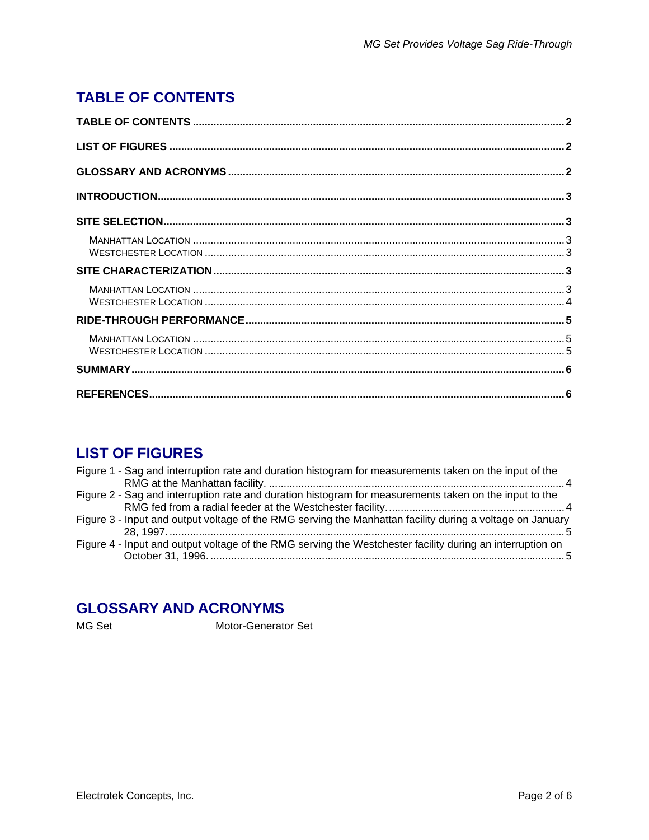# <span id="page-1-0"></span>**TABLE OF CONTENTS**

# **LIST OF FIGURES**

| Figure 1 - Sag and interruption rate and duration histogram for measurements taken on the input of the    |
|-----------------------------------------------------------------------------------------------------------|
|                                                                                                           |
| Figure 2 - Sag and interruption rate and duration histogram for measurements taken on the input to the    |
|                                                                                                           |
| Figure 3 - Input and output voltage of the RMG serving the Manhattan facility during a voltage on January |
|                                                                                                           |
| Figure 4 - Input and output voltage of the RMG serving the Westchester facility during an interruption on |
|                                                                                                           |
|                                                                                                           |

# **GLOSSARY AND ACRONYMS**

MG Set

Motor-Generator Set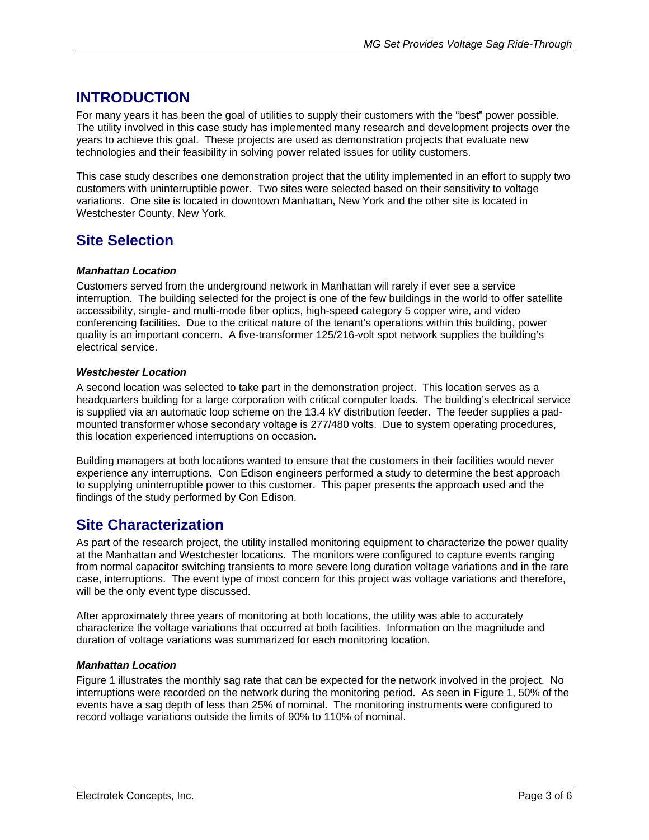# <span id="page-2-0"></span>**INTRODUCTION**

For many years it has been the goal of utilities to supply their customers with the "best" power possible. The utility involved in this case study has implemented many research and development projects over the years to achieve this goal. These projects are used as demonstration projects that evaluate new technologies and their feasibility in solving power related issues for utility customers.

This case study describes one demonstration project that the utility implemented in an effort to supply two customers with uninterruptible power. Two sites were selected based on their sensitivity to voltage variations. One site is located in downtown Manhattan, New York and the other site is located in Westchester County, New York.

# **Site Selection**

#### *Manhattan Location*

Customers served from the underground network in Manhattan will rarely if ever see a service interruption. The building selected for the project is one of the few buildings in the world to offer satellite accessibility, single- and multi-mode fiber optics, high-speed category 5 copper wire, and video conferencing facilities. Due to the critical nature of the tenant's operations within this building, power quality is an important concern. A five-transformer 125/216-volt spot network supplies the building's electrical service.

#### *Westchester Location*

A second location was selected to take part in the demonstration project. This location serves as a headquarters building for a large corporation with critical computer loads. The building's electrical service is supplied via an automatic loop scheme on the 13.4 kV distribution feeder. The feeder supplies a padmounted transformer whose secondary voltage is 277/480 volts. Due to system operating procedures, this location experienced interruptions on occasion.

Building managers at both locations wanted to ensure that the customers in their facilities would never experience any interruptions. Con Edison engineers performed a study to determine the best approach to supplying uninterruptible power to this customer. This paper presents the approach used and the findings of the study performed by Con Edison.

### **Site Characterization**

As part of the research project, the utility installed monitoring equipment to characterize the power quality at the Manhattan and Westchester locations. The monitors were configured to capture events ranging from normal capacitor switching transients to more severe long duration voltage variations and in the rare case, interruptions. The event type of most concern for this project was voltage variations and therefore, will be the only event type discussed.

After approximately three years of monitoring at both locations, the utility was able to accurately characterize the voltage variations that occurred at both facilities. Information on the magnitude and duration of voltage variations was summarized for each monitoring location.

#### *Manhattan Location*

[Figure 1](#page-3-1) illustrates the monthly sag rate that can be expected for the network involved in the project. No interruptions were recorded on the network during the monitoring period. As seen in [Figure 1,](#page-3-1) 50% of the events have a sag depth of less than 25% of nominal. The monitoring instruments were configured to record voltage variations outside the limits of 90% to 110% of nominal.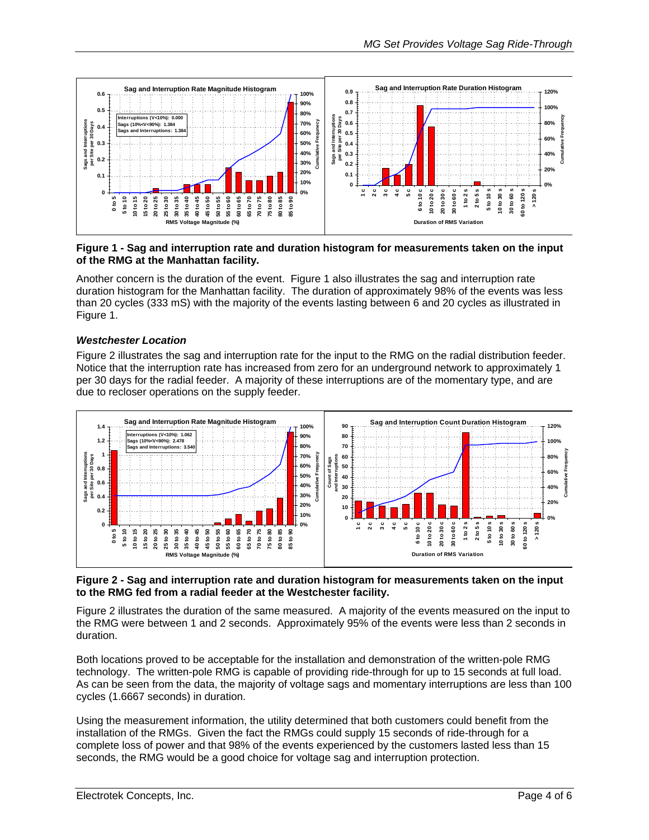<span id="page-3-1"></span><span id="page-3-0"></span>

#### **Figure 1 - Sag and interruption rate and duration histogram for measurements taken on the input of the RMG at the Manhattan facility.**

Another concern is the duration of the event. [Figure 1](#page-3-1) also illustrates the sag and interruption rate duration histogram for the Manhattan facility. The duration of approximately 98% of the events was less than 20 cycles (333 mS) with the majority of the events lasting between 6 and 20 cycles as illustrated in [Figure 1.](#page-3-1)

#### *Westchester Location*

[Figure 2](#page-3-2) illustrates the sag and interruption rate for the input to the RMG on the radial distribution feeder. Notice that the interruption rate has increased from zero for an underground network to approximately 1 per 30 days for the radial feeder. A majority of these interruptions are of the momentary type, and are due to recloser operations on the supply feeder.

<span id="page-3-2"></span>

#### **Figure 2 - Sag and interruption rate and duration histogram for measurements taken on the input to the RMG fed from a radial feeder at the Westchester facility.**

[Figure 2](#page-3-2) illustrates the duration of the same measured. A majority of the events measured on the input to the RMG were between 1 and 2 seconds. Approximately 95% of the events were less than 2 seconds in duration.

Both locations proved to be acceptable for the installation and demonstration of the written-pole RMG technology. The written-pole RMG is capable of providing ride-through for up to 15 seconds at full load. As can be seen from the data, the majority of voltage sags and momentary interruptions are less than 100 cycles (1.6667 seconds) in duration.

Using the measurement information, the utility determined that both customers could benefit from the installation of the RMGs. Given the fact the RMGs could supply 15 seconds of ride-through for a complete loss of power and that 98% of the events experienced by the customers lasted less than 15 seconds, the RMG would be a good choice for voltage sag and interruption protection.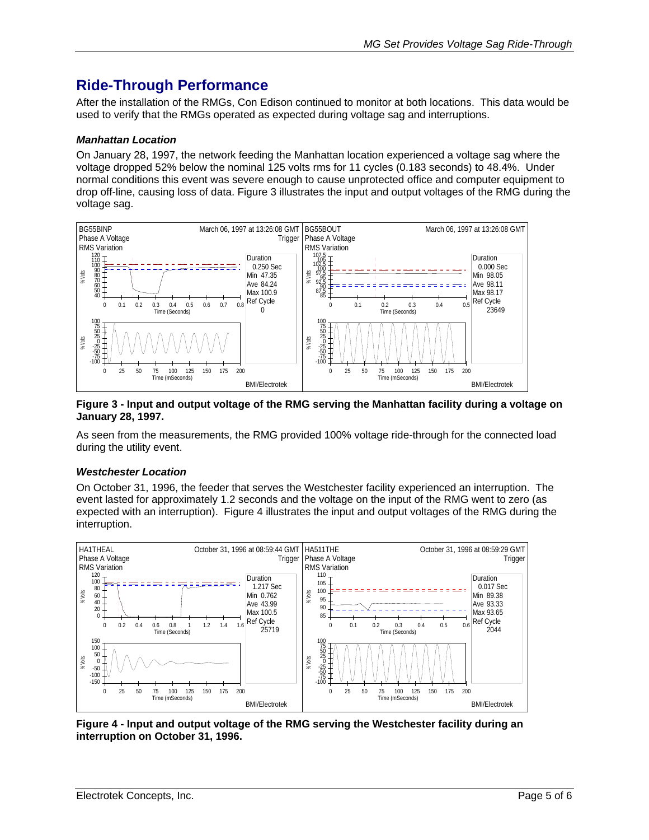# <span id="page-4-0"></span>**Ride-Through Performance**

After the installation of the RMGs, Con Edison continued to monitor at both locations. This data would be used to verify that the RMGs operated as expected during voltage sag and interruptions.

#### *Manhattan Location*

On January 28, 1997, the network feeding the Manhattan location experienced a voltage sag where the voltage dropped 52% below the nominal 125 volts rms for 11 cycles (0.183 seconds) to 48.4%. Under normal conditions this event was severe enough to cause unprotected office and computer equipment to drop off-line, causing loss of data. [Figure 3](#page-4-1) illustrates the input and output voltages of the RMG during the voltage sag.

<span id="page-4-1"></span>

#### **Figure 3 - Input and output voltage of the RMG serving the Manhattan facility during a voltage on January 28, 1997.**

As seen from the measurements, the RMG provided 100% voltage ride-through for the connected load during the utility event.

#### *Westchester Location*

On October 31, 1996, the feeder that serves the Westchester facility experienced an interruption. The event lasted for approximately 1.2 seconds and the voltage on the input of the RMG went to zero (as expected with an interruption). [Figure 4](#page-4-2) illustrates the input and output voltages of the RMG during the interruption.

<span id="page-4-2"></span>

**Figure 4 - Input and output voltage of the RMG serving the Westchester facility during an interruption on October 31, 1996.**